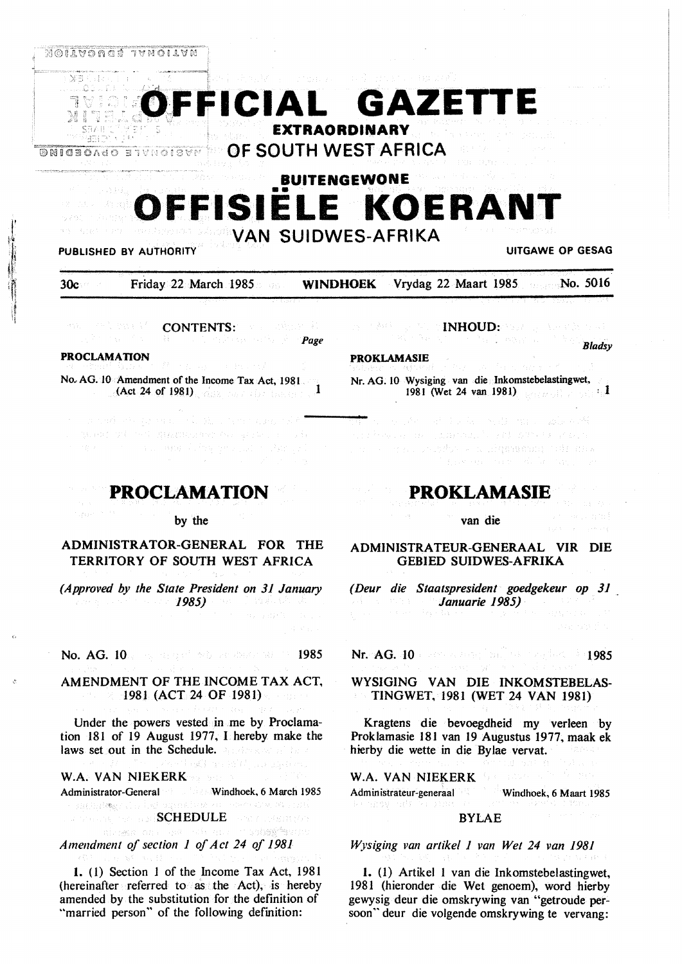

# **BUITENGEWONE OFFISIELE KOERAN** VAN SUIDWES-AFRIKA

## **PUBLISHED BY** AUTHORITY **UITGAWE OP GESAG**

*Bladsy* 

30c Friday 22 March 1985 **WINDHOEK** Vrydag 22 Maart 1985 No. 5016

AW - PA L BAY N CONTENTS: **CONTENTS:** *Page* 

## **PROCLAMATION**

No. AG. 10 Amendment of the Income Tax Act, 1981. (Act 24 of 1981)  $\sqrt{a}$  and the first linear  $\alpha$ 



#### by the

## ADMINISTRATOR-GENERAL FOR THE TERRITORY OF SOUTH WEST AFRICA

*(Approved by the State President on 31 January \) 1985)* 

No. AG. 10. The second with the theory of 1985

## AMENDMENT OF THE INCOME TAX ACT, 1981 (ACT 24 OF 1981)

Under the powers vested in me by Proclamation 181 of 19 August 1977, I hereby make the laws set out in the Schedule. And the set of the

#### W.A. VAN NIEKERK

Administrator-General Windhoek, 6 March 1985

sober<sup>2</sup>acost

## → 病因治療 / Cool®  $\mathcal{S}$  SCHEDULE

*Amendment of section 1 of Act 24 of 1981* 

**1.** (1) Section 1 of the Income Tax Act, 1981 (hereinafter referred to as the Act), is hereby amended by the substitution for the definition of "married person" of the following definition:

INHOUD: New York New York 1988

#### **PROKLAMASIE**

Nr. AG. 10 Wysiging van die Inkomstebelastingwet, 1981 (Wet 24 van 1981) **1981** : <sup>1</sup>

a Awsterdam and American Constitutions of the se mai indutre a piquaaniq tali dha

## **PROKLAMASIE**

#### van die

ADMINISTRATEUR-GENERAAL VIR DIE GEBIED SUIDWES-AFRIKA

*(Deur die Staatspresident goedgekeur op 31 Januarie 1985)* 

Nr. AG. 10 1985 A BOY SE 1985 1985

## WYSIGlNG VAN DIE INKOMSTEBELAS-TINGWET, 1981 (WET 24 VAN 1981)

Kragtens die bevoegdheid my verleen by Proklamasie 181 van 19 Augustus 1977, maak ek hierby die wette in die Bylae vervat.

## **W.A. VAN NIEKERK**

Administrateur-generaal Windhoek, 6 Maart 1985

#### BYLAE

*Wysiging van artikel 1 van Wet 24 van 1981* 

**1.** (I) Artikel I van die Inkomstebelastingwet, 1981 (hieronder die Wet genoem), word hierby gewysig deur die omskrywing van "getroude persoon" deur die volgende omskrywing te vervang: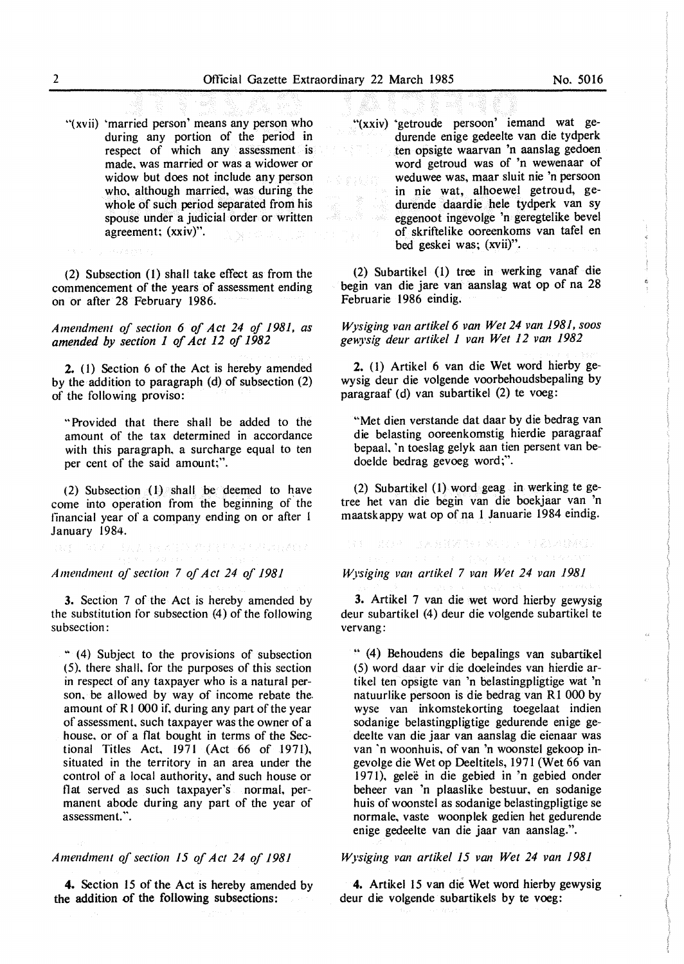"(xvii) 'married person' means any person who during any portion of the period in respect of which any assessment is made. was married or was a widower or widow but does not include any person who. although married, was during the whole of such period separated from his spouse under a judicial order or written agreement; **(xxiv)".** 

(2) Subsection (1) shall take effect as from the commencement of the years of assessment ending on or after 28 February 1986.

*Amendmenl of section 6 of Act 24 of 1981, as amended by section 1 of Act 12 of 1982* 

**2.** (I) Section 6 of the Act is hereby amended by the addition to paragraph (d) of subsection (2) of the following proviso:

"Provided that there shall be added to the amount of the tax determined in accordance with this paragraph, a surcharge equal to ten per cent of the said amount;".

(2) Subsection (1) shall be deemed to have come into operation from the beginning of the financial year of a company ending on or after l January 1984.

人员 中心通信员 难得得 机补偿机构运行通信人

*Amendment of section 7 of Act 24 of 1981* 

**3.** Section 7 of the Act is hereby amended by the substitution for subsection (4) of the following subsection:

" (4) Subject to the provisions of subsection (5). there shall. for the purposes of this section in respect of any taxpayer who is a natural person. be allowed by way of income rebate the. amount of RI 000 if. during any part of the year of assessment. such taxpayer was the owner of a house. or of a flat bought in terms of the Sectional Titles Act, 1971 (Act 66 of 1971), situated in the territory in an area under the control of a local authority, and such house or flat served as such taxpayer's normal, permanent abode during any part of the year of assessment.".

*Amendment of section 15 of Act 24 of 1981* 

**4.** Section 15 of the Act is hereby amended by the addition of the following subsections:

"(xxiv) "getroude persoon' iemand wat gedurende enige gedeelte van die tydperk ten opsigte waarvan 'n aanslag gedoen word getroud was of 'n wewenaar of weduwee was, maar sluit nie 'n persoon in nie wat, alhoewel getroud, gedurende daardie hele tydperk van sy eggenoot ingevolge 'n geregtelike bevel of skriftelike ooreenkoms van tafel en bed geskei was; (xvii)".

(2) Subartikel (1) tree in werking vanaf die begin van die jare van aanslag wat op of na 28 Februarie 1986 eindig.

*Wysiging van artikel 6 van Wet 24 van 1981, soos gewysig deur artikel 1 van Wet 12 van 1982* 

**2.** (1) Artikel 6 van die Wet word hierby gewysig deur die volgende voorbehoudsbepaling by paragraaf (d) van subartikel (2) te voeg:

"Met dien verstande dat daar by die bedrag van die belasting ooreenkomstig hierdie paragraaf bepaal. 'n toeslag gelyk aan tien persent van bedoelde bedrag gevoeg word;".

(2) Subartikel (1) word geag in werking te getree het van die begin van die boekjaar van 'n maatskappy wat op of na 1 Januarie 1984 eindig.

*Wysiging van artikel 7 van Wet 24 van 1981* 

指:「是很快」的人名誉领导的 医咽口 中国流通报纸

**3.** Artikel 7 van die wet word hierby gewysig deur subartikel (4) deur die volgende subartikel te vervang:

" (4) Behoudens die bepalings van subartikel (5) word daar vir die doeleindes van hierdie artikel ten opsigte van 'n belastingpligtige wat 'n natuurlike persoon is die bedrag van RI 000 by wyse van inkomstekorting toegelaat indien sodanige belastingpligtige gedurende enige gedeelte van die jaar van aanslag die eienaar was van 'n woonhuis. of van 'n woonstel gekoop ingevolge die Wet op Deeltitels, 1971 (Wet 66 van 197 I). gelee in die gebied in 'n gebied onder beheer van 'n plaaslike bestuur, en sodanige huis of woonstel as sodanige belastingpligtige se normale, vaste woonplek gedien het gedurende enige gedeelte van die jaar van aanslag.".

*Wysiging van artikel 15 van Wet 24 van 1981* 

**4.** Artikel 15 van die Wet word hierby gewysig deur die volgende subartikels by te voeg:

 $\hat{G}$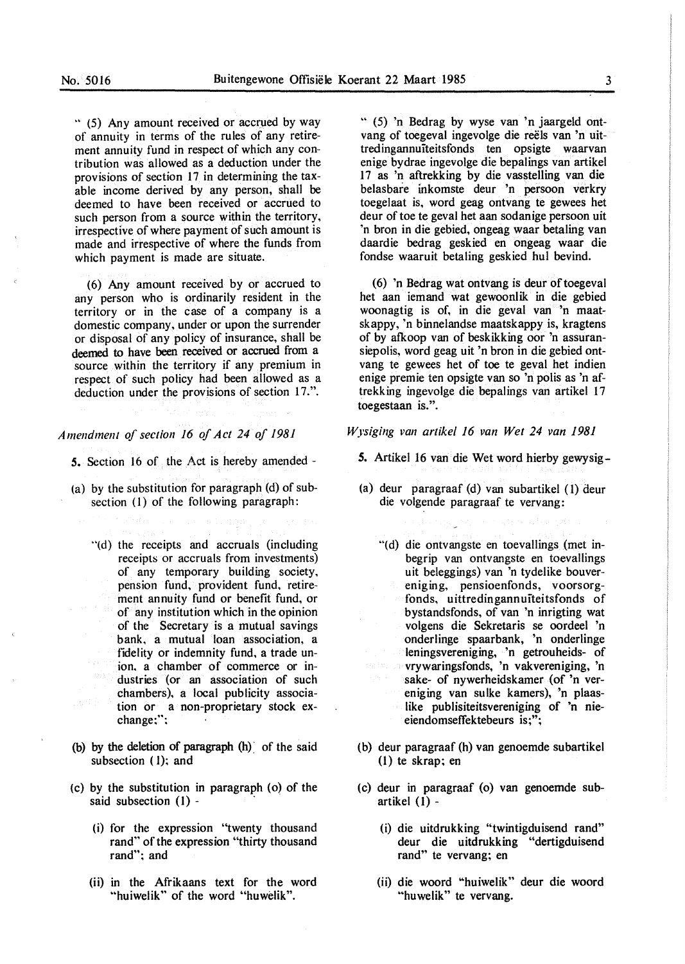" (5) Any amount received or accrued by way of annuity in terms of the rules of any retirement annuity fund in respect of which any contribution was allowed as a deduction under the provisions of section 17 in determining the taxable income derived by any person, shall be deemed to have been received or accrued to such person from a source within the territory, irrespective of where payment of such amount is made and irrespective of where the funds from which payment is made are situate.

( 6) Any amount received by or accrued to any person who is ordinarily resident in the territory or in the case of a company is a domestic company, under or upon the surrender or disposal of any policy of insurance, shall be deemed to have been received or accrued from a source within the territory if any premium in respect of such policy had been allowed as a deduction under the provisions of section 17.".

## *Amendment of section 16 of Act 24 of 1981*

*5.* Section 16 of the Act is hereby amended -

- (a) by the substitution for paragraph (d) of subsection (I) of the following paragraph:
	- "(d) the receipts and accruals (including receipts or accruals from investments) of any temporary building society, pension fund, provident fund, retirement annuity fund or benefit fund, or of any institution which in the opinion of the Secretary is a mutual savings bank, a mutual loan association, a fidelity or indemnity fund, a trade union, a chamber of commerce or industries (or an association of such chambers), a local publicity association or a non-proprietary stock exchange;";
- (b) by the deletion of paragraph (h) of the said subsection (1); and
- (c) by the substitution in paragraph (o) of the said subsection  $(1)$  -
	- (i) for the expression "twenty thousand rand" of the expression "thirty thousand rand"; and
	- (ii) in the Afrikaans text for the word "huiwelik" of the word "huwelik".

" (5) 'n Bedrag by wyse van 'n jaargeld ontvang of toegeval ingevolge die reels van 'n uittredingannuiteitsfonds ten opsigte waarvan enige bydrae ingevolge die bepalings van artikel 17 as 'n aftrekking by die vasstelling van die belasbare inkomste deur 'n persoon verkry toegelaat is, word geag ontvang te gewees het deur of toe te geval het aan sodanige persoon uit 'n bron in die gebied, ongeag waar betaling van daardie bedrag geskied en ongeag waar die fondse waaruit betaling geskied hul bevind.

(6) 'n Bedrag wat ontvang is deur of toegeval het aan iemand wat gewoonlik in die gebied woonagtig is of, in die geval van 'n maatskappy, 'n binnelandse maatskappy is, kragtens of by afkoop van of beskikking oor 'n assuransiepolis, word geag uit 'n bron in die gebied ontvang te gewees het of toe te geval het indien enige premie ten opsigte van so 'n polis as 'n aftrekking ingevolge die bepalings van artikel 17 toegestaan is.".

## *Wysiging van artike/ 16 van Wet 24 van 1981*

- *5.* Artikel 16 van die Wet word hierby gewysig-
- (a) deur paragraaf (d) van subartikel ( 1) deur die volgende paragraaf te vervang:
	- "(d) die ontvangste en toevallings (met inbegrip van ontvangste en toevallings uit beleggings) van 'n tydelike bouvereniging, pensioenfonds, voorsorgfonds, uittredingannuiteitsfonds of bystandsfonds, of van 'n inrigting wat volgens die Sekretaris se oordeel 'n onderlinge spaarbank, 'n onderlinge leningsvereniging, 'n getrouheids- of vrywaringsfonds, 'n vakvereniging, 'n sake- of nywerheidskamer (of 'n vereniging van sulke kamers), 'n plaaslike publisiteitsvereniging of 'n nieeiendomseffektebeurs is;";
- (b) deur paragraaf (h) van genoernde subartikel  $(1)$  te skrap; en
- (c) deur in paragraaf (o) van genoemde subartikel (I) -
	- (i) die uitdrukking "twintigduisend rand" deur die uitdrukking "dertigduisend rand" te vervang; en
	- (ii) die woord "huiwelik" deur die woord "huwelik" te vervang.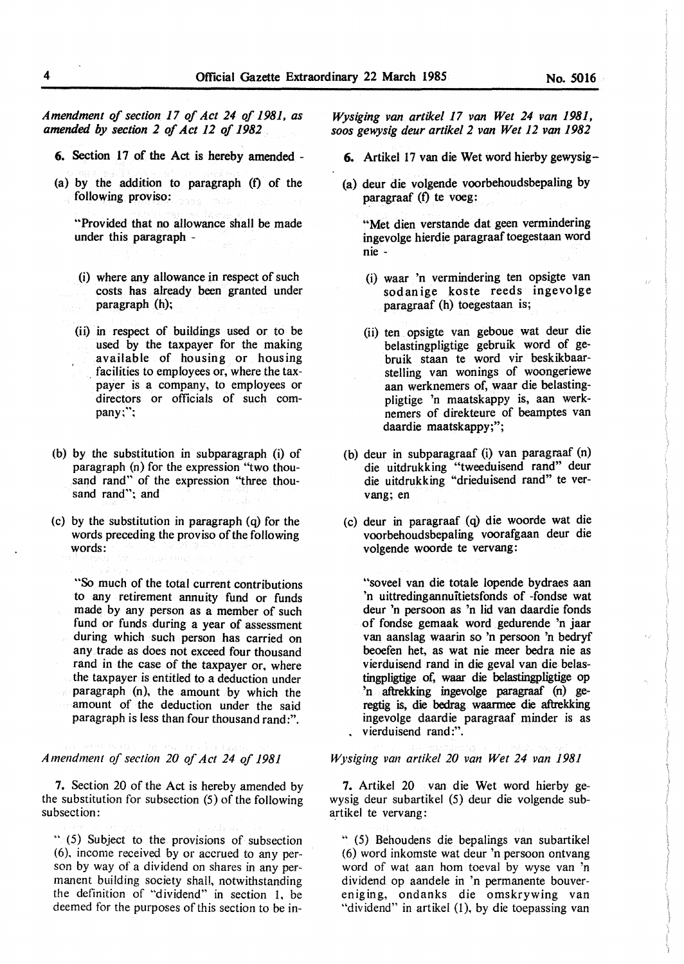*Amendment of section 17 of Act 24 of 1981, as amended by section 2 of Act 12 of 1982* 

- 6. Section 17 of the Act is hereby amended -
- $(a)$  by the addition to paragraph  $(f)$  of the following proviso:

"Provided that no allowance shall be made under this paragraph -

- (i) where any allowance in respect of such costs has already been granted under paragraph (h);
- (ii) in respect of buildings used or to be used by the taxpayer for the making available of housing or housing . facilities to employees or, where the taxpayer is a company, to employees or directors or officials of such company;";
- (b) by the substitution in subparagraph (i) of paragraph (n) for the expression "two thousand rand" of the expression "three thousand rand"; and
- (c) by the substitution in paragraph (q) for the words preceding the proviso of the following words:

"So much of the total current contributions to any retirement annuity fund or funds made by any person as a member of such fund or funds during a year of assessment during which such person has carried on any. trade as does not exceed four thousand rand in the case of the taxpayer or, where the taxpayer is entitled to a deduction under paragraph (n), the amount by which the amount of the deduction under the said paragraph is less than four thousand rand:".

## *Amendment of section 20 of Act 24 of 1981*

7. Section 20 of the Act is hereby amended by the substitution for subsection (5) of the following subsection:

" (5) Subject to the provisions of subsection (6). income received by or accrued to any person by way of a dividend on shares in any permanent building society shall, notwithstanding the definition of "dividend" in section 1, be deemed for the purposes of this section to be in-

*Wysiging van artikel 17 van Wet 24 van 1981, soos gewysig deur artikel 2 van Wet 12 van 1982* 

- **6. Artikel 17 van die Wet word hierby gewysig-**
- **(a) deur die volgende voorbehoudsbepaling by paragraaf** (f) te voeg:

**.. Met dien verstande dat geen vermindering ingevolge hierdie paragraaf toegestaan word nie** -

- (i) **waar 'n vermindering ten opsigte van**  sod an ige **koste reeds ingevolge**  paragraaf (h) **toegestaan** is;
- (ii) ten **opsigte van geboue wat** deur die belastingpligtige **gebruik word of gebruik** staan **te word vir beskikbaar**stelling van **wonings** of **woongeriewe aan werknemers** of, **waar die** belastingpligtige 'n **maatskappy is, aan werk**nemers of **direkteure** of **beamptes van**  daardie **maatskappy;";**
- (b) deur in subparagraaf (i) van paragraaf (n) die uitdrukking **"tweeduisend rand" deur die uitdrukking** "drieduisend **rand" te ver**vang; en
- **(c) deur** in paragraaf (q) **die woorde wat die voorbehoudsbepaling voorafgaan** deur die **volgende woorde te vervang:**

"soveel van die totale lopende bydraes aan 'n uittredingannuitietsfonds of -fondse wat deur 'n persoon as 'n lid van daardie fonds of fondse gemaak word gedurende 'n jaar van aanslag waarin so 'n persoon 'n bedryf beoefen het, as wat nie meer bedra nie as vierduisend rand in die geval van die belastingpligtige of, waar die belastingpligtige op 'n aftrekking ingevolge paragraaf (n) geregtig is, die bedrag waarmee die aftrekking ingevolge daardie paragraaf minder is as vierduisend rand:".

#### *Wysiging van artikel 20 van Wet 24 van 1981*

7. Artikel 20 van die Wet word hierby gewysig deur subartikel (5) deur die volgende subartikel te vervang:

" (5) Behoudens die bepalings van subartikel (6) word inkomste wat deur 'n persoon ontvang word of wat aan hom toeval by wyse van 'n dividend op aandele in 'n permanente bouveren ig ing, ondanks die omskrywing van "dividend" in artikel (1), by die toepassing van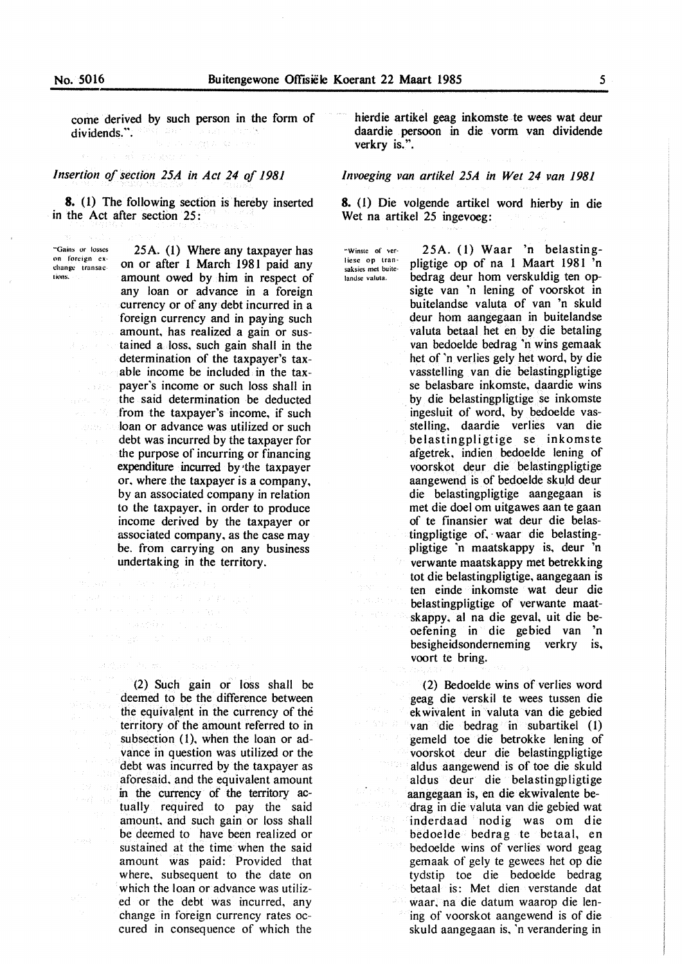come derived by such person in the form of dividends." dividends.".

## *Insertion of section 25A in Act 24 of 1981*

8. (1) The following section is hereby inserted in the Act after section 25:

.. Gains or losses on foreign exchange transaclions.

25A. (1) Where any taxpayer has on or after l March 1981 paid any amount owed by him in respect of any loan or advance in a foreign currency or of any debt incurred in a foreign currency and in paying such amount. has realized a gain or sustained a loss. such gain shall in the determination of the taxpayer's taxable income be included in the taxpayer's income or such loss shall in the said determination be deducted from the taxpayer's income, if such **loan or advance was utilized or such** debt was incurred by the taxpayer for the purpose of incurring or financing expenditure incurred by •the taxpayer or. where the taxpayer is a company, by an associated company in relation to the taxpayer. in order to produce income derived by the taxpayer or associated company. as the case may be. from carrying on any business undertaking in the territory.

> (2) Such gain or loss shall be deemed to be the difference between the equivalent in the currency of the territory of the amount referred to in subsection (1), when the loan or advance in question was utilized or the debt was incurred by the taxpayer as aforesaid. and the equivalent amount in the currency of the territory actually required to pay the said amount. and such gain or loss shall be deemed to have been realized or sustained at the time when the said amount was paid: Provided that where. subsequent to the date on which the loan or advance was utilized or the debt was incurred, any change in foreign currency rates occured in consequence of which the

Authority Person

hierdie artikel geag inkomste te wees wat deur daardie persoon in die vorm van dividende verkry is.".

## *lnvoeging van artikel 25A in Wet 24 van 1981*

**8. (I) Die volgende artikel word hierby** in die **Wet na artikel 25 ingevoeg:** 

"Winste of verliese op transaksies met buite· landse valuta.

pligtige op of na 1 Maart 1981 'n bedrag deur horn verskuldig ten opsigte van 'n lening of voorskot in buitelandse valuta of van 'n skuld deur horn aangegaan in buitelandse valuta betaal het en by die betaling van bedoelde bedrag 'n wins gemaak het of 'n verlies gely het word, by die vasstelling van die belastingpligtige se belasbare inkomste, daardie wins by die belastingpligtige se inkomste ingesluit of word. by bedoelde vasstelling. daardie verlies van die belastingpligtige se inkomste afgetrek. indien bedoelde lening of voorskot deur die belastingpligtige aangewend is of bedoelde skuld deur die belastingpligtige aangegaan is met die doel om uitgawes aan te gaan of te finansier wat deur die belastingpligtige of, waar die belastingpligtige ·n maatskappy is, deur 'n verwante maatskappy met betrekking tot die belastingpligtige. aangegaan is ten einde inkomste wat deur die belastingpligtige of verwante maatskappy. al na die geval, uit die beoefening in die gebied van 'n besigheidsonderneming verkry is, voort te bring.

25A. ( 1) Waar 'n belasting-

(2) Bedoelde wins of verlies word geag die verskil te wees tussen die ek wivalent in valuta van die gebied van die bedrag in subartikel (1) gemeld toe die betrokke lening of voorskot deur die belastingpligtige aldus aangewend is of toe die skuld aldus deur die belastingpligtige aangegaan is, en die ekwivalente bedrag in die valuta van die gebied wat inderdaad nodig was om die bedoelde bedrag te betaal, en bedoelde wins of verlies word geag gemaak of gely te gewees het op die tydstip toe die bedoelde bedrag betaal is: Met dien verstande dat waar, na die datum waarop die lening of voorskot aangewend is of die skuld aangegaan is. 'n verandering in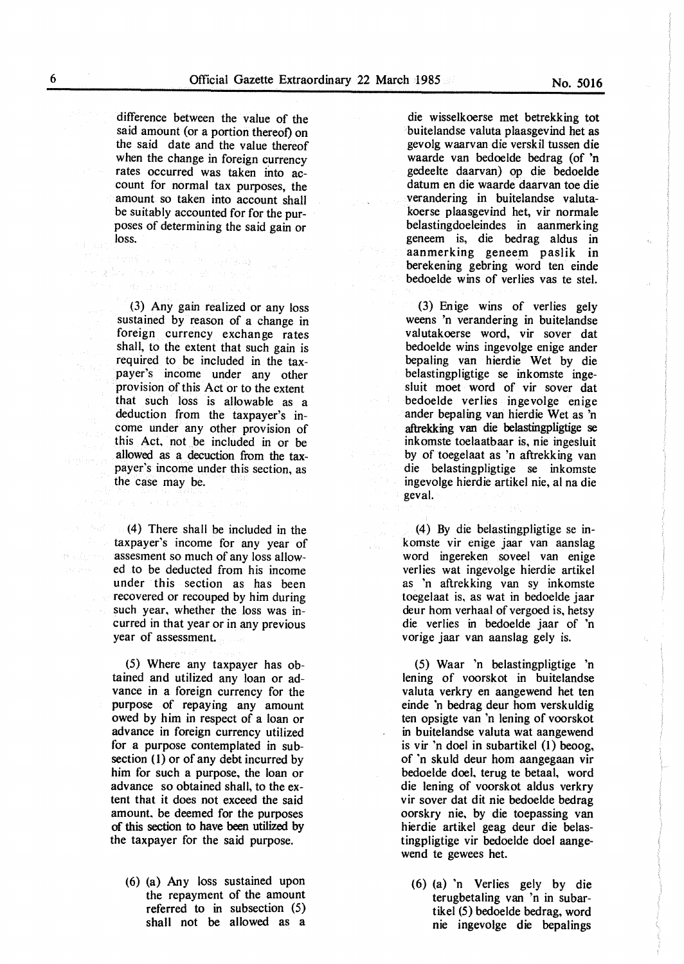difference between the value of the said amount (or a portion thereof) on the said date and the value thereof when the change in foreign currency rates occurred was taken into account for normal tax purposes, the amount so taken into account shall be suitably accounted for for the purposes of determining the said gain or loss.

ਕੋਈਨ ਨੇਸ਼ਕ ਅਤੇ ਪੜ੍ਹਾ ਅਤੇ ਪ

(3) Any gain realized or any loss sustained by reason of a change in foreign currency exchange rates shall, to the extent that such gain is required to be included in the taxpayer's income under any other provision of this Act or to the extent that such loss is allowable as a deduction from the taxpayer's income under any other provision of this Act, not be included in or be allowed as a decuction from the taxpayer's income under this section, as the case may be.

(4) There shall be included in the taxpayer's income for any year of assesment so much of any loss allowed to be deducted from his income under this section as has been recovered or recouped by him during such year, whether the loss was incurred in that year or in any previous year of assessment.

(5) Where any taxpayer has obtained and utilized any loan or advance in a foreign currency for the purpose of repaying any amount owed by him in respect of a loan or advance in foreign currency utilized for a purpose contemplated in subsection  $(1)$  or of any debt incurred by him for such a purpose, the loan or advance so obtained shall, to the extent that it does not exceed the said amount, be deemed for the purposes of this section to have been utilized by the taxpayer for the said purpose.

(6) (a) Any loss sustained upon the repayment of the amount referred to in subsection (5) shall not be allowed as a

die wisselkoerse met betrekking tot buitelandse valuta plaasgevind bet as gevolg waarvan die verskil tussen die waarde van bedoelde bedrag (of 'n gedeelte daarvan) op die bedoelde datum en die waarde daarvan toe die verandering in buitelandse valutakoerse plaasgevind bet, vir normale belastingdoeleindes in aanmerking geneem is, die bedrag aldus in aanmerking geneem paslik in berekening gebring word ten einde bedoelde wins of verlies vas te stel.

(3) Enige wins of verlies gely weens 'n verandering in buitelandse valutakoerse word, vir sover dat bedoelde wins ingevolge enige ander bepaling van hierdie Wet by die belastingpligtige se inkomste ingesluit moet word of vir sover dat bedoelde verlies ingevolge enige ander bepaling van hierdie Wet as 'n aftrekking van die belastingpligtige se inkomste toelaatbaar is, nie ingesluit by of toegelaat as 'n aftrekking van die belastingpligtige se inkomste ingevolge hierdie artikel nie, al na die geval.

(4) By die belastingpligtige se inkomste vir enige jaar van aanslag word ingereken soveel van enige verlies wat ingevolge hierdie artikel as 'n aftrekking van sy inkomste toegelaat is, as wat in bedoelde jaar deur horn verhaal of vergoed is, hetsy die verlies in bedoelde jaar of 'n vorige jaar van aanslag gely is.

(5) Waar 'n belastingpligtige 'n lening of voorskot in buitelandse valuta verkry en aangewend het ten einde 'n bedrag deur horn verskuldig ten opsigte van 'n lening of voorskot in buitelandse valuta wat aangewend is vir 'n doel in subartikel (1) beoog, of 'n skuld deur horn aangegaan vir bedoelde doe!, terug te betaal, word die lening of voorskot aldus verkry vir sover dat dit nie bedoelde bedrag oorskry nie, by die toepassing van hierdie artikel geag deur die belastingpligtige vir bedoelde doe! aangewend te gewees het.

(6) (a) 'n Verlies gely by die terugbetaling van 'n in subartikel (5) bedoelde bedrag, word nie ingevolge die bepalings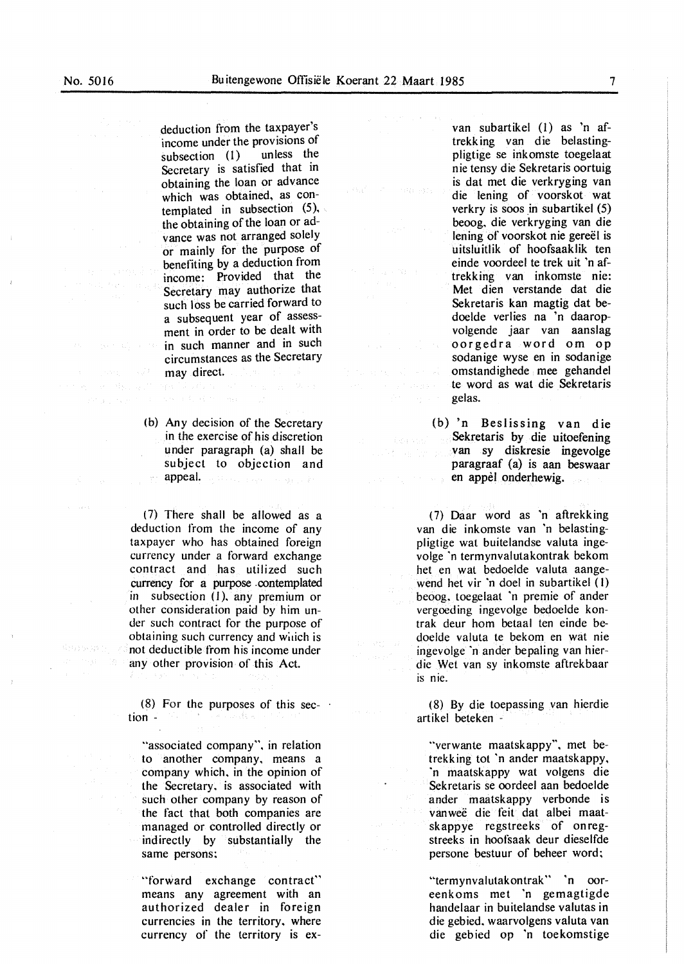All all Ameri

deduction from the taxpayer's income under the provisions of<br>subsection (1) unless the subsection  $(1)$ Secretary is satisfied that in obtaining the loan or advance which was obtained, as contemplated in subsection  $(5)$ , the obtaining of the loan or advance was not arranged solely or mainly for the purpose of benefiting by a deduction from income: Provided that the Secretary may authorize that such loss be carried forward to a subsequent year of assessment in order to be dealt with in such manner and in such circumstances as the Secretary may direct.

(b) Any decision of the Secretary in the exercise of his discretion under paragraph (a) shall be subject to objection and appeal. La Bassa, La Agrica de Santa de

( 7) There shall be allowed as a deduction from the income of any taxpayer who has obtained foreign currency under a forward exchange contract and has utilized such currency for a purpose contemplated in subsection (1), any premium or other consideration paid by him under such contract for the purpose of obtaining such currency and which is not deductible from his income under any other provision of this Act.

(8) For the purposes of this sec- $\cdot$ tion a sa An

"associated company", in relation to another company. means a company which, in the opinion of the Secretary, is associated with such other company by reason of the fact that both companies are managed or controlled directly or indirectly by substantially the same persons:

"forward exchange contract" means any agreement with an authorized dealer in foreign currencies in the territory. where currency of the territory is ex-

van subartikel (I) as 'n aftrekk ing van die belastingpligtige se irikomste toegelaat nie tensy die Sekretaris oortuig is dat met die verkryging van die lening of voorskot wat verkry is soos in subartikel (5) beoog. die verkryging van die Iening of voorskot nie gereel is uitsluitlik of hoofsaaklik ten einde voordeel te trek uit 'n aftrekking van inkomste nie: Met dien verstande dat die Sekretaris kan magtig dat bedoelde verlies na 'n daaropvolgende jaar van aanslag oorgedra word om op sodanige wyse en in sodanige omstandighede mee gehandel te word as wat die Sekretaris gelas.

(b) 'n Beslissing van die Sekretaris by die uitoefening van sy diskresie ingevolge paragraaf (a) is aan beswaar en appel onderhewig. in a cop-

(7) Daar word as 'n aftrekking van die inkomste van 'n belastingpligtige wat buitelandse valuta ingevolge 'n termynvalutakontrak bekom het en wat bedoelde valuta aangewend het vir 'n doel in subartikel ( I) beoog. toegelaat 'n premie of ander vergoeding ingevolge bedoelde kontrak deur horn betaal ten einde bedoelde valuta te bekom en wat nie ingevolge ·n ander bepaling van hierdie Wet van sy inkomste aftrekbaar is nie.

(8) By die toepassing van hierdie artikel beteken -

"verwante maatskappy", met betrekking tot 'n ander maatskappy, ·n maatskappy wat volgens die Sekretaris se oordeel aan bedoelde ander maatskappy verbonde is vanwee die feit dat albei maatskappye regstreeks of on regstreeks in hoofsaak deur dieselfde persone bestuur of beheer word:

"termynvalutakontrak" 'n ooreenkoms met 'n gemagtigde handelaar in buitelandse valutas in die gebied, waarvolgens valuta van die gebied op 'n toekomstige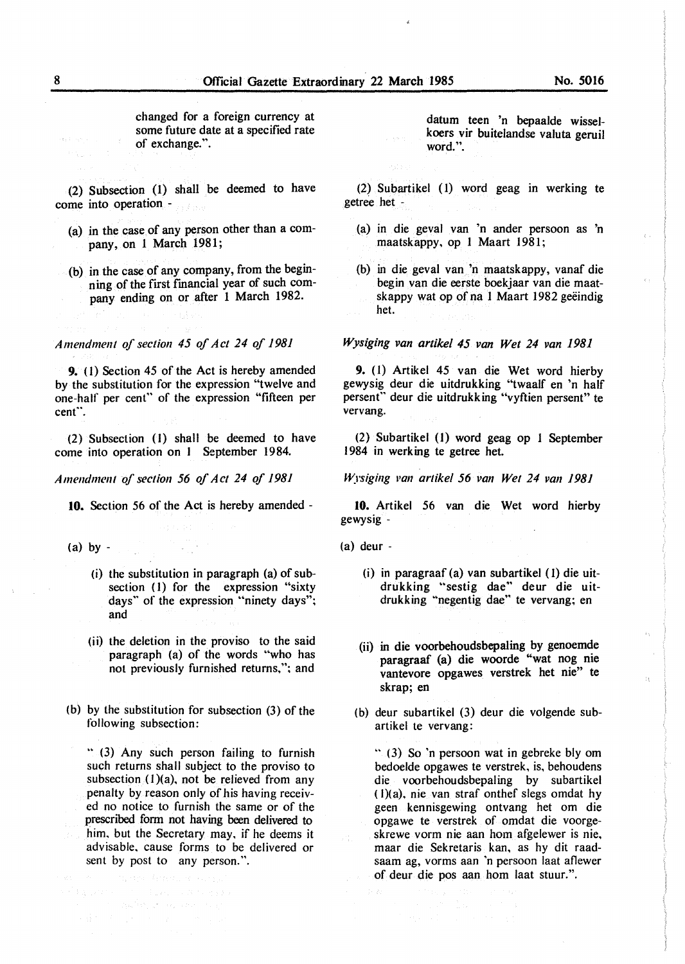changed for a foreign currency at some future date at a specified rate of exchange.".

(2) Subsection (1) shall be deemed to have come into operation -

- (a) in the case of any person other than a company, on l March 1981;
- (b) in the case of any company, from the beginning of the first financial year of such company ending on or after 1 March 1982.

*Amendment of section 45 of Act 24 of 1981* 

**9.** ( I) Section 45 of the Act is hereby amended by the substitution for the expression "twelve and one-half per cent" of the expression "fifteen per cent".

(2) Subsection (I) shall be deemed to have come into operation on 1 September 1984.

*Amendment of section 56 of Act 24 of 1981* 

**10.** Section 56 of the Act is hereby amended -

- $(a)$  by  $-$ 
	- (i) the substitution in paragraph (a) of subsection (1) for the expression "sixty days" of the expression "ninety days"; and
	- (ii) the deletion in the proviso to the said paragraph (a) of the words "who has not previously furnished returns."; and
- (b) by the substitution for subsection (3) of the following subsection:

.. (3) Any such person failing to furnish such returns shall subject to the proviso to subsection  $(1)(a)$ , not be relieved from any penalty by reason only of his having received no notice to furnish the same or of the prescribed form not having been delivered to him. but the Secretary may, if he deems it advisable. cause forms to be delivered or sent by post to any person.".

datum teen 'n bepaalde wisselkoers vir buitelandse valuta geruil word.".

(2) Subartikel ( 1) word geag in werking te getree het -

- (a) in die geval van 'n ander persoon as 'n maatskappy, op I Maart 1981;
- (b) in die geval van 'n maatskappy, vanaf die begin van die eerste boekjaar van die maatskappy wat op of na 1 Maart 1982 geëindig het.

*Wysiging van artikel 45 van Wet 24 van 1981* 

**9.** (1) Artikel 45 van die Wet word hierby gewysig deur die uitdrukking "twaalf en 'n half persenf' deur die uitdrukking "vyftien persent" te vervang.

(2) Subartikel (J) word geag op I September 1984 in werk ing te getree het.

*Wrsiging i•an artikel 56 van Wet 24 van 1981* 

**10.** Artikel 56 van die Wet word hierby gewysig -

(a) deur -

- (i) in paragraaf (a) van subartikel ( 1) die uitdrukking "sestig dae" deur die uitdrukking "negentig dae" te vervang; en
- (ii) in die voorbehoudsbepaling by genoemde paragraaf (a) die woorde "wat nog nie vantevore opgawes verstrek bet nie" te skrap; en

 $\mathcal{L}_1$ 

(b) deur subartikel (3) deur die volgende subartikel te vervang:

 $\cdot$  (3) So 'n persoon wat in gebreke bly om bedoelde opgawes te verstrek. is, behoudens die voorbehoudsbepaling by subartikel ( I)(a). nie van straf onthef slegs omdat hy geen kennisgewing ontvang het om die opgawe te verstrek of omdat die voorgeskrewe vorm nie aan hom afgelewer is nie, maar die Sekretaris kan. as hy dit raadsaam ag, vorms aan 'n persoon laat aflewer of deur die pos aan horn laat stuur.".

 $\mathcal{F} = \left[ \mathcal{E}_{\mathbf{t}} \mathbf{u}_{\mathbf{t}} \hat{\mathcal{F}}_{\mathbf{t}} \mathbf{v}_{\mathbf{t}} \right]_{\mathbf{t}} \mathbf{v} = \left( \mathcal{E}_{\mathbf{t}} \right) \left[ \mathcal{E} \mathcal{F} \right]_{\mathbf{t}} \left[ \mathcal{F} \mathbf{v}_{\mathbf{t}} \right]$ 

 $\label{eq:2.1} \mathcal{F}=\frac{1}{2}\mathcal{F}^{\text{max}}_{\text{max}}\left(\mathcal{F}^{\text{max}}_{\text{max}}\right) =\frac{1}{2}\mathcal{F}^{\text{max}}_{\text{max}}$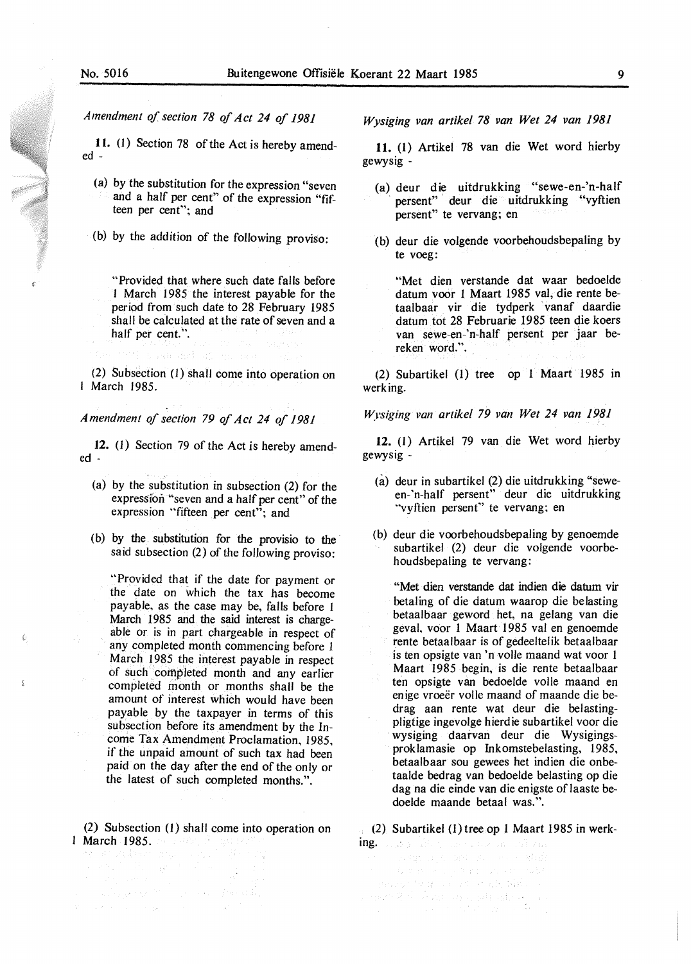*Amendment of section 78 of Act 24 of 1981* 

II. (I) Section 78 of the Act is hereby amended -

- (a) by the substitution for the expression "seven and a half per cent" of the expression "fifteen per cent"; and
- (b) by the addition of the following proviso:

"Provided that where such date falls before J March 1985 the interest payable for the period from such date to 28 February 1985 shall be calculated at the rate of seven and a half per cent.".

(2) Subsection (1) shall come into operation on March 1985.

san dell'otti mi rasc

*Amendment of section 79 of Act 24 of 1981* 

**12.** (1) Section 79 of the Act is hereby amended -

- (a) by the substitution in subsection  $(2)$  for the expression "seven and a half per cent" of the expression "fifteen per cent"; and
- (b) by the substitution for the provisio to the said subsection (2) of the following proviso:

"Provided that if the date for payment or the date on which the tax has become payable. as the case may be, falls before 1 March 1985 and the said interest is chargeable or is in part chargeable in respect of any completed month commencing before 1 March 1985 the interest payable in respect of such completed month and any earlier completed month or months shall be the amount of interest which would have been payable by the taxpayer in terms of this subsection before its amendment by the Income Tax Amendment Proclamation, 1985, if the unpaid amount of such tax had been paid on the day after the end of the only or the latest of such completed months.".

(2) Subsection (1) shall come into operation on March 1985. ·

[12] 1971년<br>대한민국의 인기 대한민국의 대한민국의 대한민국의 기대

and the second complete state of the state.

*Wysiging van artikel 78 van Wet 24 van 1981* 

**11.** (1) Artikel 78 van die Wet word hierby gewysig -

- (a) deur die uitdrukking "sewe-en-'n-half persent" deur die uitdrukking "vyftien persent" te vervang; en
- (b) deur die volgende voorbehoudsbepaling by te voeg:
	- "Met dien verstande dat waar bedoelde datum voor 1 Maart 1985 val, die rente betaalbaar vir die tydperk vanaf daardie datum tot 28 Februarie 1985 teen die koers van sewe-en-'n-half persent per jaar bereken word.".

(2) Subartikel (1) tree op I Maart 1985 in werking.

*Wysiging van artikel 79 van Wet 24 van 1981* 

**12.** (1) Artikel 79 van die Wet word hierby gewysig -

- (a) deur in subartikel (2) die uitdrukking "seween-·n-half persent" deur die uitdrukking "vyftien persent" te vervang; en
- (b) deur die voorbehoudsbepaling by genoemde subartikel (2) deur die volgende voorbehoudsbepaling te vervang:

"Met dien verstande dat indien die datum vir betaling of die datum waarop die belasting betaalbaar geword het, na gelang van die geval. voor 1 Maart 1985 val en genoemde rente betaalbaar is of gedeeltelik betaalbaar is ten opsigte van 'n voile maand wat voor I Maart 1985 begin, is die rente betaalbaar ten opsigte van bedoelde voile maand en enige vroeër volle maand of maande die bedrag aan rente wat deur die belastingpligtige ingevolge hierdie subartikel voor die wysiging daarvan deur die Wysigingsprok lamasie op Inkomstebelasting, 1985, betaalbaar sou gewees het indien die onbetaalde bedrag van bedoelde belasting op die dag na die einde van die enigste of laaste bedoelde maande betaal was.".

(2) Subartikel (I) tree op l Maart 1985 in werk-

ing. This is the conservation of the complete batch concerns which and the most completely ਰ ਦੁਆਂ ਨੂੰ ਨੂੰ ਮੰਤਰਾ ਦੇ ਹਰਦੇ ਕੀਤੇ ਹਨ। ਜ  $\label{eq:2} \mathcal{L}=\left\{ \left\langle \mathcal{L}_{\mathcal{A}}\right\rangle \right\} \left\langle \mathcal{L}_{\mathcal{A}}\right\rangle \left\langle \mathcal{L}_{\mathcal{A}}\right\rangle \left\langle \mathcal{L}_{\mathcal{A}}\right\rangle$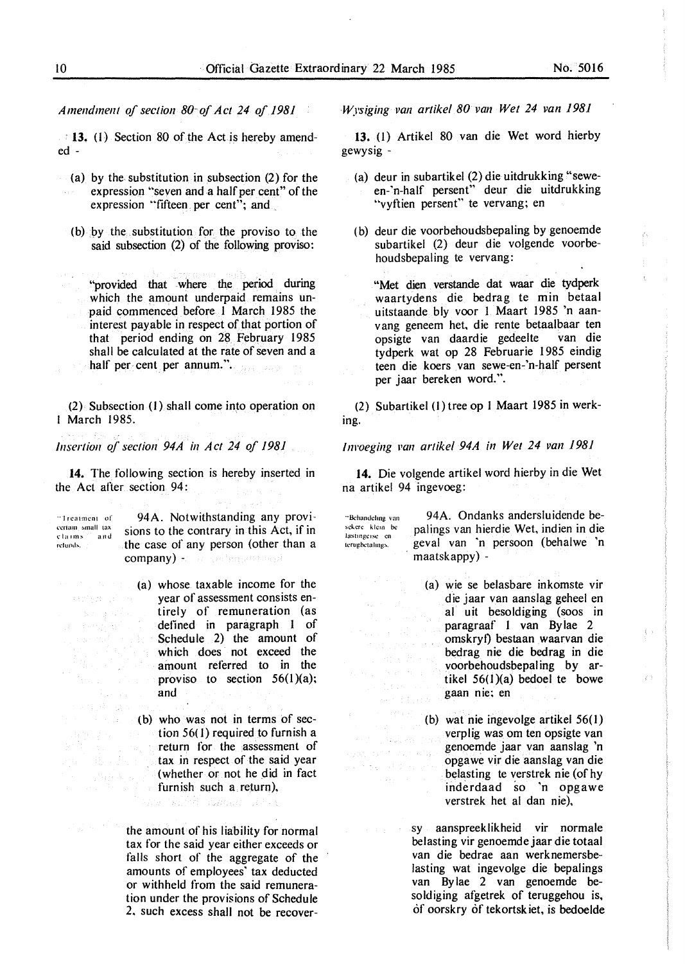*Amendment of section 80 of Act 24 of 1981* 

**13.** (I) Section 80 of the Act is hereby amended -

- (a) by the substitution in subsection  $(2)$  for the expression "seven and a half per cent" of the expression "fifteen. per cent"; and
	- (b) by the. substitution for the proviso to the said subsection (2) of the following proviso:

"provided that where the period during which the amount underpaid remains unpaid commenced before I March 1985 the interest payable in respect of that portion of that period ending on 28. February 1985 shall be calculated at the rate of seven and a half per cent per annum.".

(2) Subsection (1) shall come into operation on 1 March 1985.

*Insertion of section 94A in Act 24 of /981* 

14. The following section is hereby inserted in the Act after section 94:

·• I **rcatmcnt of** 

 $\mathcal{R}(\mathcal{E}^{(1)}_{\mathcal{A}},\mathcal{E}^{(2)}_{\mathcal{A}},\mathcal{E}^{(1)})\subset\mathcal{E}$ あえばな

94A. Notwithstanding any provi critain small tax sions to the contrary in this Act, if in retunds. **the case of any person (other than a** company) + and and recording of

> (a) whose taxable income for the year of assessment consists entirely of remuneration (as defined in paragraph I of Schedule 2) the amount of which does not exceed the amount referred to in the proviso to section  $56(1)(a)$ ; and

> (b) who was not in terms of section 56( I) required to furnish a return for the assessment of tax in respect of the said year  $($ whether or not he did in fact furnish such a return),

the amount of his liability for normal tax for the said year either exceeds or falls short of the aggregate of the

ans (ghàid duagh) làm t

amounts of employees' tax deducted or withheld from the said remuneration under the provisions of Schedule 2. such excess shall not be recover*Wysiging van artikel 80 van Wet 24 van 1981* 

**13.** (1) Artikel 80 van die Wet word hierby gewysig -

- (a) deur in subartikel (2) die uitdrukking "seween-·n-half persent" deur die uitdrukking "vyftien persent" te vervang; en
- ( b) deur die voorbehoudsbepaling by genoemde subartikel (2) deur die volgende voorbehoudsbepaling te vervang:

"Met dien verstande dat waar die tydperk waartydens die bedrag te min betaal uitstaande bly voor I Maart 1985 'n aanv ang geneem het, die rente betaalbaar ten opsigte van daardie gedeelte van die tydperk wat op 28 Februarie 1985 eindig teen die koers van sewe-en-'n-half persent per jaar bereken word.".

(2) Subartikel (1) tree op 1 Maart 1985 in werking.

*Invoeging van artikel 94A in Wet 24 van 1981* 

**14.** Die volgende artikel word hierby in die Wet na artikel 94 ingevoeg:

**··&·handclmg van M!l..crc klcm be**  lastingerse en terugbetalings.

> Adopty Pride ow, danshi zu, r

> > a gala

94A. Ondanks andersluidende bepalings van hierdie Wet, indien in die geval van ·n persoon (behalwe 'n maatskappy) -

(a) wie se belasbare inkomste vir die jaar van aanslag geheel en al uit besoldiging (soos in paragraaf 1 van Bylae 2 omskryf) bestaan waarvan die bedrag nie die bedrag in die voorbehoudsbepal ing by artikel  $56(1)(a)$  bedoel te bowe gaan nie; en

 $\langle \cdot \rangle$ 

 $\left\langle \cdot \right\rangle$ 

(b) wat nie ingevolge artikel 56(1) verplig was om ten opsigte van genoemde jaar van aanslag 'n opgawe vir die aanslag van die 長いたちの ほんかいしょう belasting te verstrek nie (of hy inderdaad so 'n opgawe verstrek het al dan nie),

> sy aanspreeklikheid vir normale be lasting vir genoemde jaar die totaal van die bedrae aan werknemersbelasting wat ingevolge die bepalings van Bylae 2 van genoemde besoldiging afgetrek of teruggehou is, of oorskry of tekortsk iet, is bedoelde